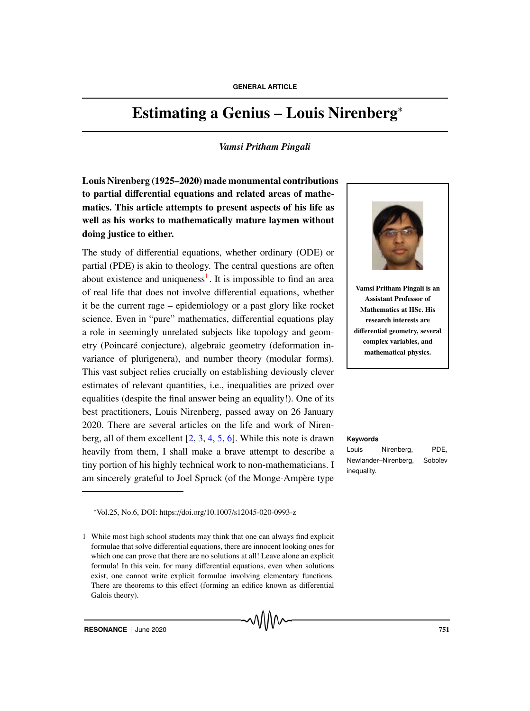# Estimating a Genius – Louis Nirenberg<sup>∗</sup>

### *Vamsi Pritham Pingali*

Louis Nirenberg (1925–2020) made monumental contributions to partial differential equations and related areas of mathematics. This article attempts to present aspects of his life as well as his works to mathematically mature laymen without doing justice to either.

The study of differential equations, whether ordinary (ODE) or partial (PDE) is akin to theology. The central questions are often about existence and uniqueness<sup>1</sup>. It is impossible to find an area of real life that does not involve differential equations, whether it be the current rage – epidemiology or a past glory like rocket science. Even in "pure" mathematics, differential equations play a role in seemingly unrelated subjects like topology and geometry (Poincaré conjecture), algebraic geometry (deformation invariance of plurigenera), and number theory (modular forms). This vast subject relies crucially on establishing deviously clever estimates of relevant quantities, i.e., inequalities are prized over equalities (despite the final answer being an equality!). One of its best practitioners, Louis Nirenberg, passed away on 26 January 2020. There are several articles on the life and work of Nirenberg, all of them excellent [2, 3, 4, 5, 6]. While this note is drawn **Keywords** heavily from them, I shall make a brave attempt to describe a tiny portion of his highly technical work to non-mathematicians. I am sincerely grateful to Joel Spruck (of the Monge-Ampère type



Vamsi Pritham Pingali is an Assistant Professor of Mathematics at IISc. His research interests are differential geometry, several complex variables, and mathematical physics.

Louis Nirenberg, PDE, Newlander–Nirenberg, Sobolev inequality.

∗ Vol.25, No.6, DOI: https://doi.org/10.1007/s12045-020-0993-z

<sup>1</sup> While most high school students may think that one can always find explicit formulae that solve differential equations, there are innocent looking ones for which one can prove that there are no solutions at all! Leave alone an explicit formula! In this vein, for many differential equations, even when solutions exist, one cannot write explicit formulae involving elementary functions. There are theorems to this effect (forming an edifice known as differential Galois theory).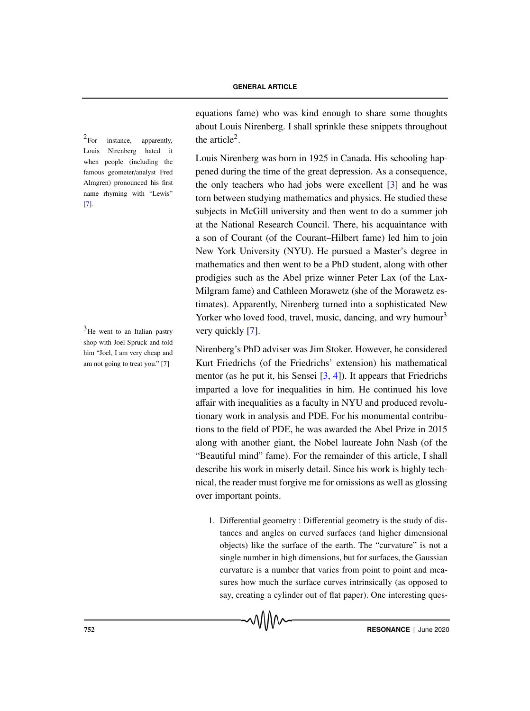$2$ For instance, apparently, the article<sup>2</sup>. Louis Nirenberg hated it when people (including the famous geometer/analyst Fred Almgren) pronounced his first name rhyming with "Lewis" [7].

 $3$ He went to an Italian pastry shop with Joel Spruck and told him "Joel, I am very cheap and am not going to treat you." [7]

equations fame) who was kind enough to share some thoughts about Louis Nirenberg. I shall sprinkle these snippets throughout

Louis Nirenberg was born in 1925 in Canada. His schooling happened during the time of the great depression. As a consequence, the only teachers who had jobs were excellent [3] and he was torn between studying mathematics and physics. He studied these subjects in McGill university and then went to do a summer job at the National Research Council. There, his acquaintance with a son of Courant (of the Courant–Hilbert fame) led him to join New York University (NYU). He pursued a Master's degree in mathematics and then went to be a PhD student, along with other prodigies such as the Abel prize winner Peter Lax (of the Lax-Milgram fame) and Cathleen Morawetz (she of the Morawetz estimates). Apparently, Nirenberg turned into a sophisticated New Yorker who loved food, travel, music, dancing, and wry humour $3$ very quickly [7].

Nirenberg's PhD adviser was Jim Stoker. However, he considered Kurt Friedrichs (of the Friedrichs' extension) his mathematical mentor (as he put it, his Sensei  $[3, 4]$ ). It appears that Friedrichs imparted a love for inequalities in him. He continued his love affair with inequalities as a faculty in NYU and produced revolutionary work in analysis and PDE. For his monumental contributions to the field of PDE, he was awarded the Abel Prize in 2015 along with another giant, the Nobel laureate John Nash (of the "Beautiful mind" fame). For the remainder of this article, I shall describe his work in miserly detail. Since his work is highly technical, the reader must forgive me for omissions as well as glossing over important points.

1. Differential geometry : Differential geometry is the study of distances and angles on curved surfaces (and higher dimensional objects) like the surface of the earth. The "curvature" is not a single number in high dimensions, but for surfaces, the Gaussian curvature is a number that varies from point to point and measures how much the surface curves intrinsically (as opposed to say, creating a cylinder out of flat paper). One interesting ques-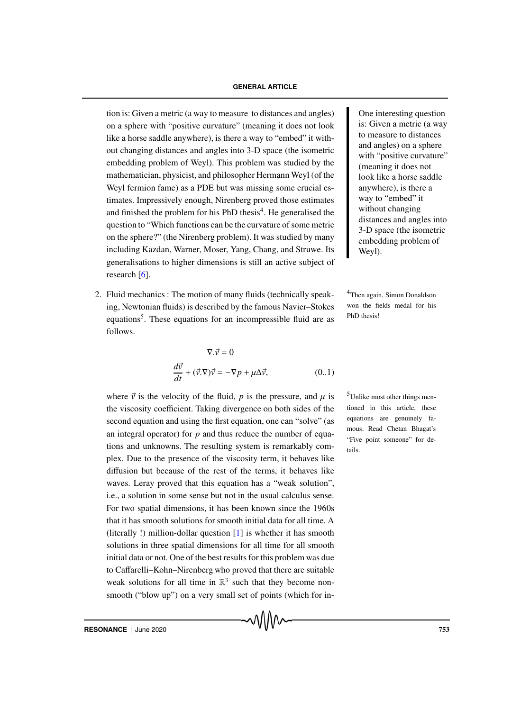#### **GENERAL ARTICLE**

tion is: Given a metric (a way to measure to distances and angles) Cone interesting question on a sphere with "positive curvature" (meaning it does not look like a horse saddle anywhere), is there a way to "embed" it without changing distances and angles into 3-D space (the isometric embedding problem of Weyl). This problem was studied by the mathematician, physicist, and philosopher Hermann Weyl (of the Weyl fermion fame) as a PDE but was missing some crucial estimates. Impressively enough, Nirenberg proved those estimates and finished the problem for his PhD thesis<sup>4</sup>. He generalised the question to "Which functions can be the curvature of some metric on the sphere?" (the Nirenberg problem). It was studied by many including Kazdan, Warner, Moser, Yang, Chang, and Struwe. Its generalisations to higher dimensions is still an active subject of research [6].

2. Fluid mechanics : The motion of many fluids (technically speak- <sup>4</sup>Then again, Simon Donaldson ing, Newtonian fluids) is described by the famous Navier–Stokes equations<sup>5</sup>. These equations for an incompressible fluid are as follows.

$$
\nabla.\vec{v} = 0
$$
  

$$
\frac{d\vec{v}}{dt} + (\vec{v}.\nabla)\vec{v} = -\nabla p + \mu \Delta \vec{v},
$$
 (0..1)

where  $\vec{v}$  is the velocity of the fluid, *p* is the pressure, and  $\mu$  is <sup>5</sup>Unlike most other things menthe viscosity coefficient. Taking divergence on both sides of the second equation and using the first equation, one can "solve" (as an integral operator) for *p* and thus reduce the number of equations and unknowns. The resulting system is remarkably complex. Due to the presence of the viscosity term, it behaves like diffusion but because of the rest of the terms, it behaves like waves. Leray proved that this equation has a "weak solution", i.e., a solution in some sense but not in the usual calculus sense. For two spatial dimensions, it has been known since the 1960s that it has smooth solutions for smooth initial data for all time. A (literally !) million-dollar question [1] is whether it has smooth solutions in three spatial dimensions for all time for all smooth initial data or not. One of the best results for this problem was due to Caffarelli–Kohn–Nirenberg who proved that there are suitable weak solutions for all time in  $\mathbb{R}^3$  such that they become nonsmooth ("blow up") on a very small set of points (which for in-

is: Given a metric (a way to measure to distances and angles) on a sphere with "positive curvature" (meaning it does not look like a horse saddle anywhere), is there a way to "embed" it without changing distances and angles into 3-D space (the isometric embedding problem of Weyl).

won the fields medal for his PhD thesis!

tioned in this article, these equations are genuinely famous. Read Chetan Bhagat's "Five point someone" for details.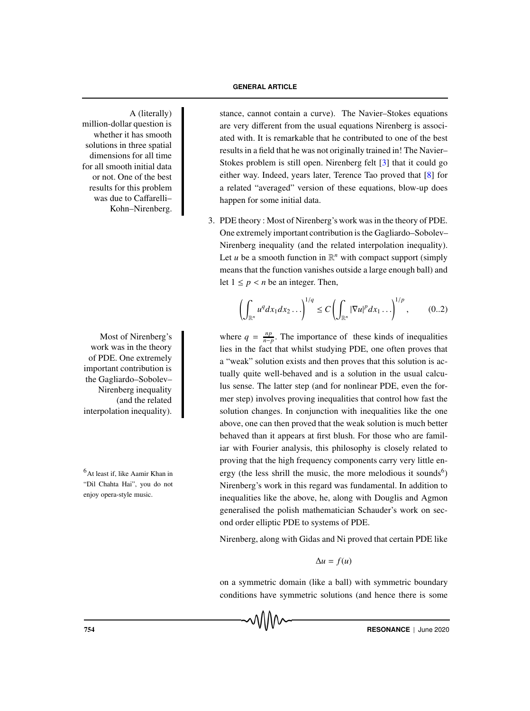million-dollar question is whether it has smooth solutions in three spatial dimensions for all time for all smooth initial data or not. One of the best results for this problem was due to Caffarelli– Kohn–Nirenberg.

work was in the theory of PDE. One extremely important contribution is the Gagliardo–Sobolev– Nirenberg inequality (and the related interpolation inequality).

"Dil Chahta Hai", you do not enjoy opera-style music.

A (literally) stance, cannot contain a curve). The Navier–Stokes equations are very different from the usual equations Nirenberg is associated with. It is remarkable that he contributed to one of the best results in a field that he was not originally trained in! The Navier– Stokes problem is still open. Nirenberg felt [3] that it could go either way. Indeed, years later, Terence Tao proved that [8] for a related "averaged" version of these equations, blow-up does happen for some initial data.

> 3. PDE theory : Most of Nirenberg's work was in the theory of PDE. One extremely important contribution is the Gagliardo–Sobolev– Nirenberg inequality (and the related interpolation inequality). Let *u* be a smooth function in  $\mathbb{R}^n$  with compact support (simply means that the function vanishes outside a large enough ball) and let  $1 \leq p \leq n$  be an integer. Then,

$$
\left(\int_{\mathbb{R}^n} u^q dx_1 dx_2 \ldots\right)^{1/q} \le C \left(\int_{\mathbb{R}^n} |\nabla u|^p dx_1 \ldots\right)^{1/p},\qquad (0..2)
$$

Most of Nirenberg's where  $q = \frac{np}{n-p}$ . The importance of these kinds of inequalities lies in the fact that whilst studying PDE, one often proves that a "weak" solution exists and then proves that this solution is actually quite well-behaved and is a solution in the usual calculus sense. The latter step (and for nonlinear PDE, even the former step) involves proving inequalities that control how fast the solution changes. In conjunction with inequalities like the one above, one can then proved that the weak solution is much better behaved than it appears at first blush. For those who are familiar with Fourier analysis, this philosophy is closely related to proving that the high frequency components carry very little en- $^{6}$ At least if, like Aamir Khan in ergy (the less shrill the music, the more melodious it sounds<sup>6</sup>) Nirenberg's work in this regard was fundamental. In addition to inequalities like the above, he, along with Douglis and Agmon generalised the polish mathematician Schauder's work on second order elliptic PDE to systems of PDE.

Nirenberg, along with Gidas and Ni proved that certain PDE like

 $\Delta u = f(u)$ 

on a symmetric domain (like a ball) with symmetric boundary conditions have symmetric solutions (and hence there is some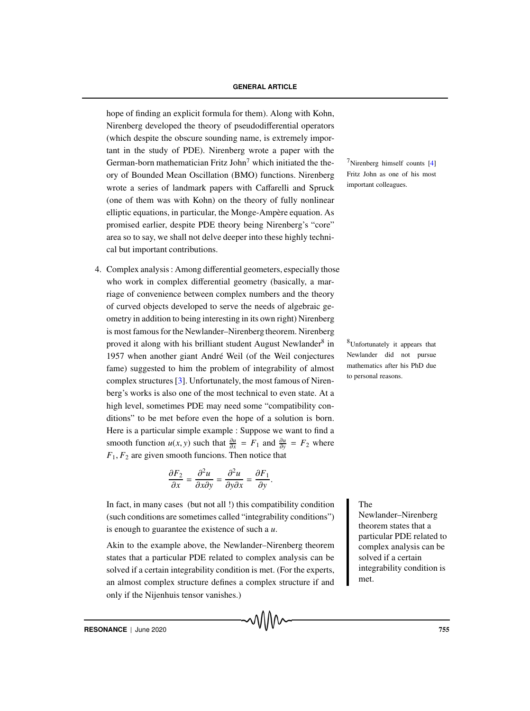#### **GENERAL ARTICLE**

hope of finding an explicit formula for them). Along with Kohn, Nirenberg developed the theory of pseudodifferential operators (which despite the obscure sounding name, is extremely important in the study of PDE). Nirenberg wrote a paper with the German-born mathematician Fritz John<sup>7</sup> which initiated the the-<br><sup>7</sup>Nirenberg himself counts [4] ory of Bounded Mean Oscillation (BMO) functions. Nirenberg wrote a series of landmark papers with Caffarelli and Spruck (one of them was with Kohn) on the theory of fully nonlinear elliptic equations, in particular, the Monge-Ampère equation. As promised earlier, despite PDE theory being Nirenberg's "core" area so to say, we shall not delve deeper into these highly technical but important contributions.

4. Complex analysis : Among differential geometers, especially those who work in complex differential geometry (basically, a marriage of convenience between complex numbers and the theory of curved objects developed to serve the needs of algebraic geometry in addition to being interesting in its own right) Nirenberg is most famous for the Newlander–Nirenberg theorem. Nirenberg proved it along with his brilliant student August Newlander<sup>8</sup> in  $$$ <sup>8</sup>Unfortunately it appears that 1957 when another giant André Weil (of the Weil conjectures fame) suggested to him the problem of integrability of almost complex structures [3]. Unfortunately, the most famous of Nirenberg's works is also one of the most technical to even state. At a high level, sometimes PDE may need some "compatibility conditions" to be met before even the hope of a solution is born. Here is a particular simple example : Suppose we want to find a smooth function *u*(*x*, *y*) such that  $\frac{\partial u}{\partial x} = F_1$  and  $\frac{\partial u}{\partial y} = F_2$  where  $F_1, F_2$  are given smooth funcions. Then notice that

$$
\frac{\partial F_2}{\partial x} = \frac{\partial^2 u}{\partial x \partial y} = \frac{\partial^2 u}{\partial y \partial x} = \frac{\partial F_1}{\partial y}.
$$

In fact, in many cases (but not all !) this compatibility condition The (such conditions are sometimes called "integrability conditions") is enough to guarantee the existence of such a *u*.

Akin to the example above, the Newlander–Nirenberg theorem states that a particular PDE related to complex analysis can be solved if a certain integrability condition is met. (For the experts, an almost complex structure defines a complex structure if and only if the Nijenhuis tensor vanishes.)

√∖∖∖∧∼

Fritz John as one of his most important colleagues.

Newlander did not pursue mathematics after his PhD due to personal reasons.

Newlander–Nirenberg theorem states that a particular PDE related to complex analysis can be solved if a certain integrability condition is met.